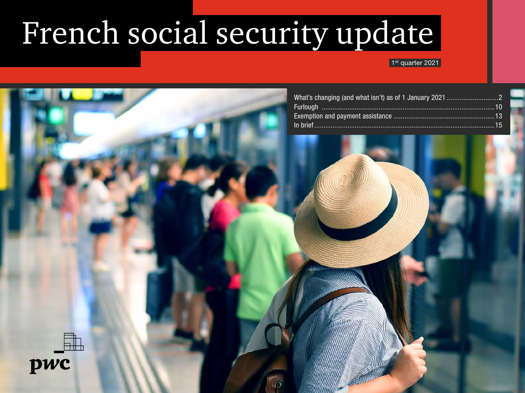## French social security update

#### 1<sup>st</sup> quarter 2021

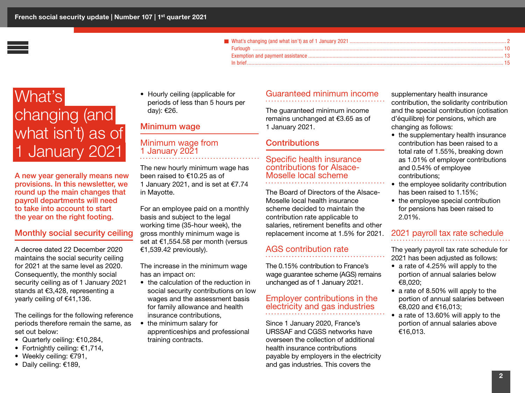| In hrief |  |
|----------|--|

## <span id="page-1-0"></span>What's changing (and what isn't) as of 1 January 2021

A new year generally means new provisions. In this newsletter, we round up the main changes that payroll departments will need to take into account to start the year on the right footing.

#### Monthly social security ceiling

A decree dated 22 December 2020 maintains the social security ceiling for 2021 at the same level as 2020. Consequently, the monthly social security ceiling as of 1 January 2021 stands at €3,428, representing a yearly ceiling of €41,136.

The ceilings for the following reference periods therefore remain the same, as set out below:

- Quarterly ceiling: €10,284,
- Fortnightly ceiling: €1,714,
- Weekly ceiling: €791,
- Daily ceiling: €189,

• Hourly ceiling (applicable for periods of less than 5 hours per day): €26.

#### Minimum wage

#### Minimum wage from 1 January 2021

The new hourly minimum wage has been raised to €10.25 as of 1 January 2021, and is set at €7.74 in Mayotte.

For an employee paid on a monthly basis and subject to the legal working time (35-hour week), the gross monthly minimum wage is set at €1,554.58 per month (versus €1,539.42 previously).

The increase in the minimum wage has an impact on:

- the calculation of the reduction in social security contributions on low wages and the assessment basis for family allowance and health insurance contributions,
- the minimum salary for apprenticeships and professional training contracts.

#### Guaranteed minimum income

The guaranteed minimum income remains unchanged at €3.65 as of 1 January 2021.

#### **Contributions**

#### Specific health insurance contributions for Alsace-Moselle local scheme

The Board of Directors of the Alsace-Moselle local health insurance scheme decided to maintain the contribution rate applicable to salaries, retirement benefits and other replacement income at 1.5% for 2021.

#### AGS contribution rate

The 0.15% contribution to France's wage guarantee scheme (AGS) remains unchanged as of 1 January 2021.

#### Employer contributions in the electricity and gas industries

Since 1 January 2020, France's URSSAF and CGSS networks have overseen the collection of additional health insurance contributions payable by employers in the electricity and gas industries. This covers the

supplementary health insurance contribution, the solidarity contribution and the special contribution (cotisation d'équilibre) for pensions, which are changing as follows:

- the supplementary health insurance contribution has been raised to a total rate of 1.55%, breaking down as 1.01% of employer contributions and 0.54% of employee contributions;
- the employee solidarity contribution has been raised to 1.15%;
- the employee special contribution for pensions has been raised to 2.01%.

#### 2021 payroll tax rate schedule

The yearly payroll tax rate schedule for 2021 has been adjusted as follows:

- a rate of 4.25% will apply to the portion of annual salaries below €8,020;
- a rate of 8.50% will apply to the portion of annual salaries between €8,020 and €16,013;
- a rate of 13.60% will apply to the portion of annual salaries above €16,013.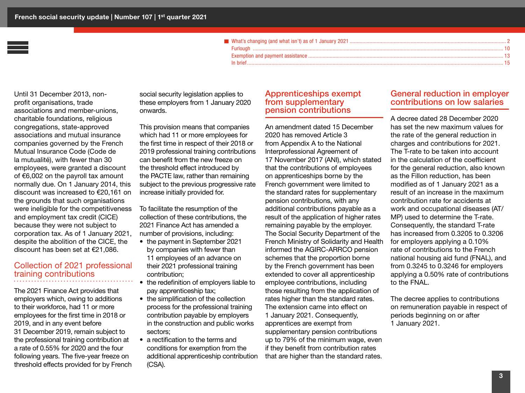Until 31 December 2013, nonprofit organisations, trade associations and member-unions, charitable foundations, religious congregations, state-approved associations and mutual insurance companies governed by the French Mutual Insurance Code (Code de la mutualité), with fewer than 30 employees, were granted a discount of €6,002 on the payroll tax amount normally due. On 1 January 2014, this discount was increased to €20,161 on the grounds that such organisations were ineligible for the competitiveness and employment tax credit (CICE) because they were not subject to corporation tax. As of 1 January 2021, despite the abolition of the CICE, the discount has been set at €21,086.

#### Collection of 2021 professional training contributions

The 2021 Finance Act provides that employers which, owing to additions to their workforce, had 11 or more employees for the first time in 2018 or 2019, and in any event before 31 December 2019, remain subject to the professional training contribution at a rate of 0.55% for 2020 and the four following years. The five-year freeze on threshold effects provided for by French

social security legislation applies to these employers from 1 January 2020 onwards.

This provision means that companies which had 11 or more employees for the first time in respect of their 2018 or 2019 professional training contributions can benefit from the new freeze on the threshold effect introduced by the PACTE law, rather than remaining subject to the previous progressive rate increase initially provided for.

To facilitate the resumption of the collection of these contributions, the 2021 Finance Act has amended a number of provisions, including:

- the payment in September 2021 by companies with fewer than 11 employees of an advance on their 2021 professional training contribution;
- the redefinition of employers liable to pay apprenticeship tax;
- the simplification of the collection process for the professional training contribution payable by employers in the construction and public works sectors;
- a rectification to the terms and conditions for exemption from the additional apprenticeship contribution (CSA).

#### Apprenticeships exempt from supplementary pension contributions

An amendment dated 15 December 2020 has removed Article 3 from Appendix A to the National Interprofessional Agreement of 17 November 2017 (ANI), which stated that the contributions of employees on apprenticeships borne by the French government were limited to the standard rates for supplementary pension contributions, with any additional contributions payable as a result of the application of higher rates remaining payable by the employer. The Social Security Department of the French Ministry of Solidarity and Health informed the AGIRC-ARRCO pension schemes that the proportion borne by the French government has been extended to cover all apprenticeship employee contributions, including those resulting from the application of rates higher than the standard rates. The extension came into effect on 1 January 2021. Consequently, apprentices are exempt from supplementary pension contributions up to 79% of the minimum wage, even if they benefit from contribution rates that are higher than the standard rates.

#### General reduction in employer contributions on low salaries

A decree dated 28 December 2020 has set the new maximum values for the rate of the general reduction in charges and contributions for 2021. The T-rate to be taken into account in the calculation of the coefficient for the general reduction, also known as the Fillon reduction, has been modified as of 1 January 2021 as a result of an increase in the maximum contribution rate for accidents at work and occupational diseases (AT/ MP) used to determine the T-rate. Consequently, the standard T-rate has increased from 0.3205 to 0.3206 for employers applying a 0.10% rate of contributions to the French national housing aid fund (FNAL), and from 0.3245 to 0.3246 for employers applying a 0.50% rate of contributions to the FNAL.

The decree applies to contributions on remuneration payable in respect of periods beginning on or after 1 January 2021.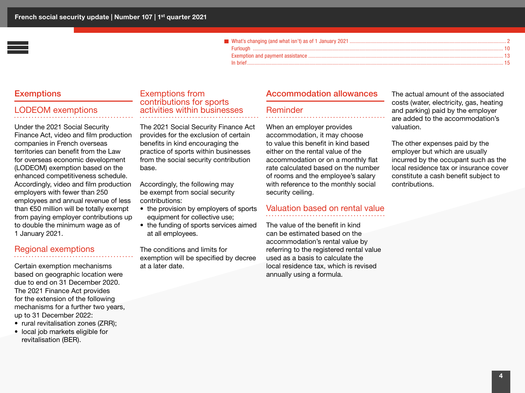#### **Exemptions**

#### LODEOM exemptions

Under the 2021 Social Security Finance Act, video and film production companies in French overseas territories can benefit from the Law for overseas economic development (LODEOM) exemption based on the enhanced competitiveness schedule. Accordingly, video and film production employers with fewer than 250 employees and annual revenue of less than €50 million will be totally exempt from paying employer contributions up to double the minimum wage as of 1 January 2021.

#### Regional exemptions

Certain exemption mechanisms based on geographic location were due to end on 31 December 2020. The 2021 Finance Act provides for the extension of the following mechanisms for a further two years, up to 31 December 2022:

- rural revitalisation zones (ZRR);
- local job markets eligible for revitalisation (BER).

#### Exemptions from contributions for sports activities within businesses

The 2021 Social Security Finance Act provides for the exclusion of certain benefits in kind encouraging the practice of sports within businesses from the social security contribution base.

Accordingly, the following may be exempt from social security contributions:

- the provision by employers of sports equipment for collective use;
- the funding of sports services aimed at all employees.

The conditions and limits for exemption will be specified by decree at a later date.

#### Accommodation allowances

#### Reminder

When an employer provides accommodation, it may choose to value this benefit in kind based either on the rental value of the accommodation or on a monthly flat rate calculated based on the number of rooms and the employee's salary with reference to the monthly social security ceiling.

#### Valuation based on rental value

The value of the benefit in kind can be estimated based on the accommodation's rental value by referring to the registered rental value used as a basis to calculate the local residence tax, which is revised annually using a formula.

The actual amount of the associated costs (water, electricity, gas, heating and parking) paid by the employer are added to the accommodation's valuation.

The other expenses paid by the employer but which are usually incurred by the occupant such as the local residence tax or insurance cover constitute a cash benefit subject to contributions.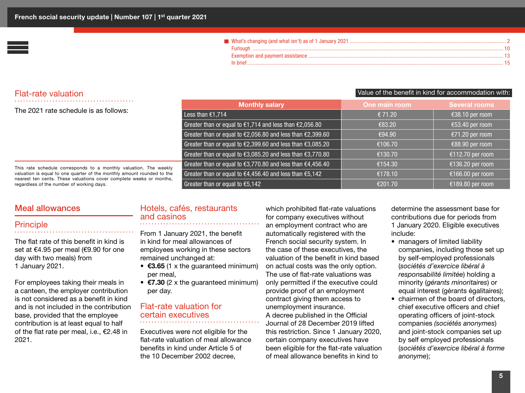#### Flat-rate valuation

The 2021 rate schedule is as follows:

| <b>Monthly salary</b>                                                       | One main room | <b>Several rooms</b> |
|-----------------------------------------------------------------------------|---------------|----------------------|
| Less than €1,714                                                            | € 71.20       | €38.10 per room      |
| Greater than or equal to $\epsilon$ 1,714 and less than $\epsilon$ 2,056.80 | €83.20        | €53.40 per room      |
| Greater than or equal to €2,056.80 and less than €2,399.60                  | €94.90        | €71.20 per room      |
| Greater than or equal to €2,399.60 and less than €3,085.20                  | €106.70       | €88.90 per room      |
| Greater than or equal to €3,085.20 and less than €3,770.80                  | €130.70       | €112.70 per room     |
| Greater than or equal to €3,770.80 and less than €4,456.40                  | €154.30       | €136.20 per room     |
| Greater than or equal to $€4,456.40$ and less than $€5,142$                 | €178.10       | €166.00 per room     |
| Greater than or equal to $€5,142$                                           | €201.70       | €189.80 per room     |

This rate schedule corresponds to a monthly valuation. The weekly valuation is equal to one quarter of the monthly amount rounded to the nearest ten cents. These valuations cover complete weeks or months, regardless of the number of working days.

#### Meal allowances

#### **Principle**

The flat rate of this benefit in kind is set at €4.95 per meal (€9.90 for one day with two meals) from 1 January 2021.

For employees taking their meals in a canteen, the employer contribution is not considered as a benefit in kind and is not included in the contribution base, provided that the employee contribution is at least equal to half of the flat rate per meal, i.e., €2.48 in 2021.

#### Hotels, cafés, restaurants and casinos

From 1 January 2021, the benefit in kind for meal allowances of employees working in these sectors remained unchanged at:

- $\epsilon$ 3.65 (1 x the guaranteed minimum) per meal,
- $\epsilon$ 7.30 (2 x the guaranteed minimum) per day.

#### Flat-rate valuation for certain executives

Executives were not eligible for the flat-rate valuation of meal allowance benefits in kind under Article 5 of the 10 December 2002 decree,

which prohibited flat-rate valuations for company executives without an employment contract who are automatically registered with the French social security system. In the case of these executives, the valuation of the benefit in kind based on actual costs was the only option. The use of flat-rate valuations was only permitted if the executive could provide proof of an employment contract giving them access to unemployment insurance. A decree published in the Official Journal of 28 December 2019 lifted this restriction. Since 1 January 2020, certain company executives have been eligible for the flat-rate valuation of meal allowance benefits in kind to

determine the assessment base for contributions due for periods from 1 January 2020. Eligible executives include:

Value of the benefit in kind for accommodation with:

- managers of limited liability companies, including those set up by self-employed professionals (*sociétés d'exercice libéral à responsabilité limitée*) holding a minority (*gérants minoritaires*) or equal interest (gérants égalitaires);
- chairmen of the board of directors. chief executive officers and chief operating officers of joint-stock companies *(sociétés anonymes*) and joint-stock companies set up by self employed professionals (*sociétés d'exercice libéral à forme anonyme*);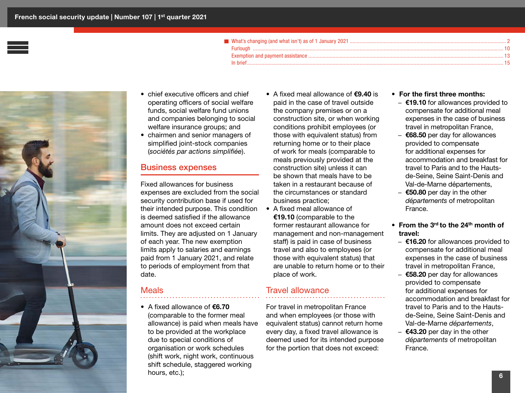

- chief executive officers and chief operating officers of social welfare funds, social welfare fund unions and companies belonging to social welfare insurance groups; and
- chairmen and senior managers of simplified joint-stock companies (*sociétés par actions simplifiée*).

#### Business expenses

Fixed allowances for business expenses are excluded from the social security contribution base if used for their intended purpose. This condition is deemed satisfied if the allowance amount does not exceed certain limits. They are adjusted on 1 January of each year. The new exemption limits apply to salaries and earnings paid from 1 January 2021, and relate to periods of employment from that date.

#### Meals

• A fixed allowance of €6.70 (comparable to the former meal allowance) is paid when meals have to be provided at the workplace due to special conditions of organisation or work schedules (shift work, night work, continuous shift schedule, staggered working hours, etc.);

- A fixed meal allowance of €9.40 is paid in the case of travel outside the company premises or on a construction site, or when working conditions prohibit employees (or those with equivalent status) from returning home or to their place of work for meals (comparable to meals previously provided at the construction site) unless it can be shown that meals have to be taken in a restaurant because of the circumstances or standard business practice;
- A fixed meal allowance of €19.10 (comparable to the former restaurant allowance for management and non-management staff) is paid in case of business travel and also to employees (or those with equivalent status) that are unable to return home or to their place of work.

#### Travel allowance

For travel in metropolitan France and when employees (or those with equivalent status) cannot return home every day, a fixed travel allowance is deemed used for its intended purpose for the portion that does not exceed:

#### • For the first three months:

- €19.10 for allowances provided to compensate for additional meal expenses in the case of business travel in metropolitan France,
- $-$  €68.50 per day for allowances provided to compensate for additional expenses for accommodation and breakfast for travel to Paris and to the Hautsde-Seine, Seine Saint-Denis and Val-de-Marne départements,
- $-$  €50.80 per day in the other *départements* of metropolitan France.
- From the  $3^{\text{rd}}$  to the  $24^{\text{th}}$  month of travel:
	- $-$  €16.20 for allowances provided to compensate for additional meal expenses in the case of business travel in metropolitan France,
	- $-$  €58.20 per day for allowances provided to compensate for additional expenses for accommodation and breakfast for travel to Paris and to the Hautsde-Seine, Seine Saint-Denis and Val-de-Marne *départements*,
	- $-$  €43.20 per day in the other *départements* of metropolitan France.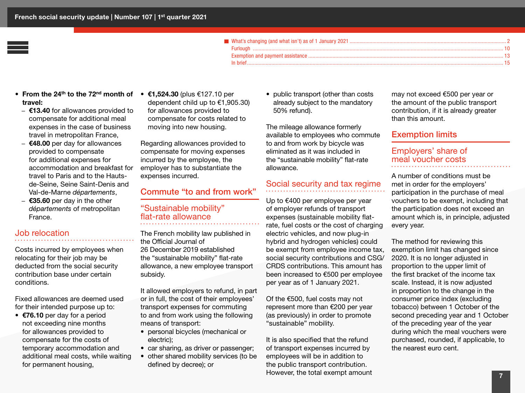- From the 24<sup>th</sup> to the 72<sup>nd</sup> month of  $\epsilon$ 1,524.30 (plus  $\epsilon$ 127.10 per travel:
	- $-$  €13.40 for allowances provided to compensate for additional meal expenses in the case of business travel in metropolitan France,
	- $-$  €48.00 per day for allowances provided to compensate for additional expenses for accommodation and breakfast for travel to Paris and to the Hautsde-Seine, Seine Saint-Denis and Val-de-Marne *départements*,
	- $-$  €35.60 per day in the other *départements* of metropolitan France.

#### Job relocation

Costs incurred by employees when relocating for their job may be deducted from the social security contribution base under certain conditions.

Fixed allowances are deemed used for their intended purpose up to:

• €76.10 per day for a period not exceeding nine months for allowances provided to compensate for the costs of temporary accommodation and additional meal costs, while waiting for permanent housing,

dependent child up to €1,905.30) for allowances provided to compensate for costs related to moving into new housing.

Regarding allowances provided to compensate for moving expenses incurred by the employee, the employer has to substantiate the expenses incurred.

#### Commute "to and from work"

#### "Sustainable mobility" flat-rate allowance

The French mobility law published in the Official Journal of 26 December 2019 established the "sustainable mobility" flat-rate allowance, a new employee transport subsidy.

It allowed employers to refund, in part or in full, the cost of their employees' transport expenses for commuting to and from work using the following means of transport:

- personal bicycles (mechanical or electric);
- car sharing, as driver or passenger;
- other shared mobility services (to be defined by decree); or

• public transport (other than costs already subject to the mandatory 50% refund).

The mileage allowance formerly available to employees who commute to and from work by bicycle was eliminated as it was included in the "sustainable mobility" flat-rate allowance.

#### Social security and tax regime

Up to €400 per employee per year of employer refunds of transport expenses (sustainable mobility flatrate, fuel costs or the cost of charging electric vehicles, and now plug-in hybrid and hydrogen vehicles) could be exempt from employee income tax, social security contributions and CSG/ CRDS contributions. This amount has been increased to €500 per employee per year as of 1 January 2021.

Of the €500, fuel costs may not represent more than €200 per year (as previously) in order to promote "sustainable" mobility.

It is also specified that the refund of transport expenses incurred by employees will be in addition to the public transport contribution. However, the total exempt amount may not exceed €500 per year or the amount of the public transport contribution, if it is already greater than this amount.

#### Exemption limits

#### Employers' share of meal voucher costs

A number of conditions must be met in order for the employers' participation in the purchase of meal vouchers to be exempt, including that the participation does not exceed an amount which is, in principle, adjusted every year.

The method for reviewing this exemption limit has changed since 2020. It is no longer adjusted in proportion to the upper limit of the first bracket of the income tax scale. Instead, it is now adjusted in proportion to the change in the consumer price index (excluding tobacco) between 1 October of the second preceding year and 1 October of the preceding year of the year during which the meal vouchers were purchased, rounded, if applicable, to the nearest euro cent.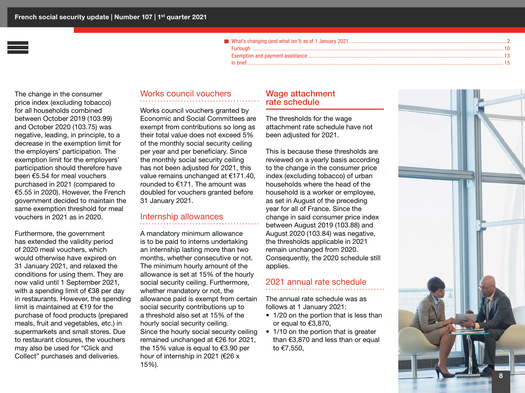The change in the consumer price index (excluding tobacco) for all households combined between October 2019 (103.99) and October 2020 (103.75) was negative, leading, in principle, to a decrease in the exemption limit for the employers' participation. The exemption limit for the employers' participation should therefore have been €5.54 for meal vouchers purchased in 2021 (compared to €5.55 in 2020). However, the French government decided to maintain the same exemption threshold for meal vouchers in 2021 as in 2020.

Furthermore, the government has extended the validity period of 2020 meal vouchers, which would otherwise have expired on 31 January 2021, and relaxed the conditions for using them. They are now valid until 1 September 2021, with a spending limit of €38 per day in restaurants. However, the spending limit is maintained at €19 for the purchase of food products (prepared meals, fruit and vegetables, etc.) in supermarkets and small stores. Due to restaurant closures, the vouchers may also be used for "Click and Collect" purchases and deliveries.

#### Works council vouchers

Works council vouchers granted by Economic and Social Committees are exempt from contributions so long as their total value does not exceed 5% of the monthly social security ceiling per year and per beneficiary. Since the monthly social security ceiling has not been adjusted for 2021, this value remains unchanged at €171.40, rounded to €171. The amount was doubled for vouchers granted before 31 January 2021.

#### Internship allowances

A mandatory minimum allowance is to be paid to interns undertaking an internship lasting more than two months, whether consecutive or not. The minimum hourly amount of the allowance is set at 15% of the hourly social security ceiling. Furthermore, whether mandatory or not, the allowance paid is exempt from certain social security contributions up to a threshold also set at 15% of the hourly social security ceiling. Since the hourly social security ceiling remained unchanged at €26 for 2021, the 15% value is equal to €3.90 per hour of internship in 2021 (€26 x 15%).

#### Wage attachment rate schedule

The thresholds for the wage attachment rate schedule have not been adjusted for 2021.

This is because these thresholds are reviewed on a yearly basis according to the change in the consumer price index (excluding tobacco) of urban households where the head of the household is a worker or employee, as set in August of the preceding year for all of France. Since the change in said consumer price index between August 2019 (103.88) and August 2020 (103.84) was negative, the thresholds applicable in 2021 remain unchanged from 2020. Consequently, the 2020 schedule still applies.

#### 2021 annual rate schedule

The annual rate schedule was as follows at 1 January 2021:

- 1/20 on the portion that is less than or equal to €3,870,
- 1/10 on the portion that is greater than  $\epsilon$ 3,870 and less than or equal to €7,550,

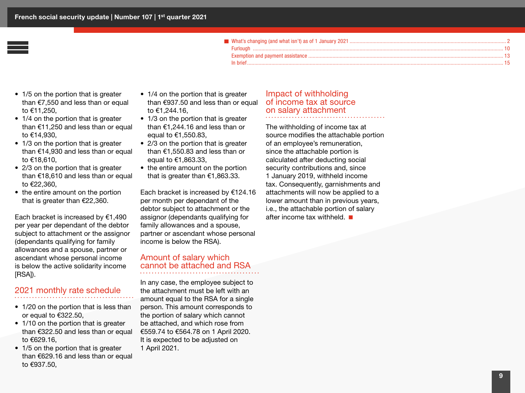- 1/5 on the portion that is greater than €7,550 and less than or equal to €11,250,
- 1/4 on the portion that is greater than €11,250 and less than or equal to €14,930,
- 1/3 on the portion that is greater than €14,930 and less than or equal to €18,610,
- 2/3 on the portion that is greater than €18,610 and less than or equal to €22,360,
- the entire amount on the portion that is greater than €22,360.

Each bracket is increased by  $€1,490$ per year per dependant of the debtor subject to attachment or the assignor (dependants qualifying for family allowances and a spouse, partner or ascendant whose personal income is below the active solidarity income [RSA]).

#### 2021 monthly rate schedule

- 1/20 on the portion that is less than or equal to €322.50,
- 1/10 on the portion that is greater than €322.50 and less than or equal to €629.16,
- 1/5 on the portion that is greater than €629.16 and less than or equal to €937.50,
- 1/4 on the portion that is greater than €937.50 and less than or equal to €1,244.16,
- 1/3 on the portion that is greater than €1,244.16 and less than or equal to €1,550.83,
- 2/3 on the portion that is greater than €1,550.83 and less than or equal to €1,863.33,
- the entire amount on the portion that is greater than €1,863.33.

Each bracket is increased by €124.16 per month per dependant of the debtor subject to attachment or the assignor (dependants qualifying for family allowances and a spouse, partner or ascendant whose personal income is below the RSA).

#### Amount of salary which cannot be attached and RSA

In any case, the employee subject to the attachment must be left with an amount equal to the RSA for a single person. This amount corresponds to the portion of salary which cannot be attached, and which rose from €559.74 to €564.78 on 1 April 2020. It is expected to be adjusted on 1 April 2021.

#### Impact of withholding of income tax at source on salary attachment

The withholding of income tax at source modifies the attachable portion of an employee's remuneration, since the attachable portion is calculated after deducting social security contributions and, since 1 January 2019, withheld income tax. Consequently, garnishments and attachments will now be applied to a lower amount than in previous years, i.e., the attachable portion of salary after income tax withheld.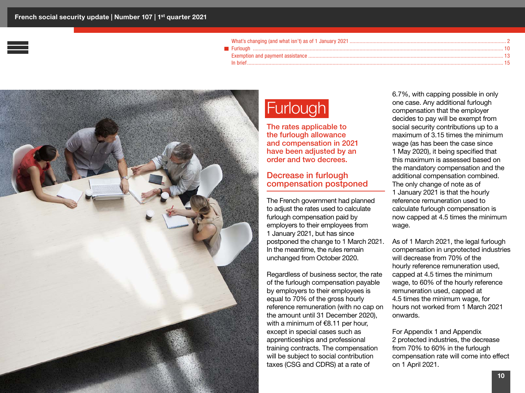<span id="page-9-0"></span>

## **Furlough**

The rates applicable to the furlough allowance and compensation in 2021 have been adjusted by an order and two decrees.

#### Decrease in furlough compensation postponed

The French government had planned to adjust the rates used to calculate furlough compensation paid by employers to their employees from 1 January 2021, but has since postponed the change to 1 March 2021. In the meantime, the rules remain unchanged from October 2020.

Regardless of business sector, the rate of the furlough compensation payable by employers to their employees is equal to 70% of the gross hourly reference remuneration (with no cap on the amount until 31 December 2020), with a minimum of €8.11 per hour, except in special cases such as apprenticeships and professional training contracts. The compensation will be subject to social contribution taxes (CSG and CDRS) at a rate of

6.7%, with capping possible in only one case. Any additional furlough compensation that the employer decides to pay will be exempt from social security contributions up to a maximum of 3.15 times the minimum wage (as has been the case since 1 May 2020), it being specified that this maximum is assessed based on the mandatory compensation and the additional compensation combined. The only change of note as of 1 January 2021 is that the hourly reference remuneration used to calculate furlough compensation is now capped at 4.5 times the minimum wage.

As of 1 March 2021, the legal furlough compensation in unprotected industries will decrease from 70% of the hourly reference remuneration used, capped at 4.5 times the minimum wage, to 60% of the hourly reference remuneration used, capped at 4.5 times the minimum wage, for hours not worked from 1 March 2021 onwards.

For Appendix 1 and Appendix 2 protected industries, the decrease from 70% to 60% in the furlough compensation rate will come into effect on 1 April 2021.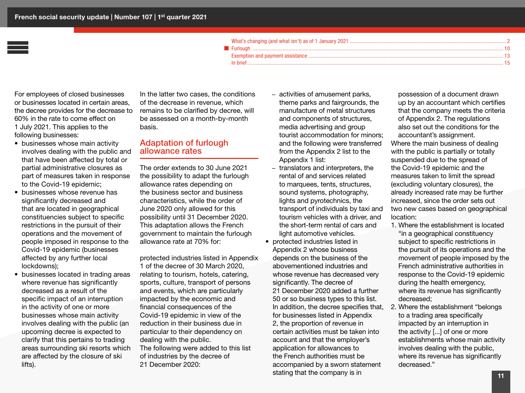For employees of closed businesses or businesses located in certain areas, the decree provides for the decrease to 60% in the rate to come effect on 1 July 2021. This applies to the following businesses:

- businesses whose main activity involves dealing with the public and that have been affected by total or partial administrative closures as part of measures taken in response to the Covid-19 epidemic;
- businesses whose revenue has significantly decreased and that are located in geographical constituencies subject to specific restrictions in the pursuit of their operations and the movement of people imposed in response to the Covid-19 epidemic (businesses affected by any further local lockdowns);
- businesses located in trading areas where revenue has significantly decreased as a result of the specific impact of an interruption in the activity of one or more businesses whose main activity involves dealing with the public (an upcoming decree is expected to clarify that this pertains to trading areas surrounding ski resorts which are affected by the closure of ski lifts).

In the latter two cases, the conditions of the decrease in revenue, which remains to be clarified by decree, will be assessed on a month-by-month basis.

#### Adaptation of furlough allowance rates

The order extends to 30 June 2021 the possibility to adapt the furlough allowance rates depending on the business sector and business characteristics, while the order of June 2020 only allowed for this possibility until 31 December 2020. This adaptation allows the French government to maintain the furlough allowance rate at 70% for:

protected industries listed in Appendix 1 of the decree of 30 March 2020, relating to tourism, hotels, catering, sports, culture, transport of persons and events, which are particularly impacted by the economic and financial consequences of the Covid-19 epidemic in view of the reduction in their business due in particular to their dependency on dealing with the public. The following were added to this list of industries by the decree of 21 December 2020:

- activities of amusement parks, theme parks and fairgrounds, the manufacture of metal structures and components of structures, media advertising and group tourist accommodation for minors; and the following were transferred from the Appendix 2 list to the Appendix 1 list:
- translators and interpreters, the rental of and services related to marquees, tents, structures, sound systems, photography, lights and pyrotechnics, the transport of individuals by taxi and tourism vehicles with a driver, and the short-term rental of cars and light automotive vehicles.
- protected industries listed in Appendix 2 whose business depends on the business of the abovementioned industries and whose revenue has decreased very significantly. The decree of 21 December 2020 added a further 50 or so business types to this list. In addition, the decree specifies that, for businesses listed in Appendix 2, the proportion of revenue in certain activities must be taken into account and that the employer's application for allowances to the French authorities must be accompanied by a sworn statement stating that the company is in

possession of a document drawn up by an accountant which certifies that the company meets the criteria of Appendix 2. The regulations also set out the conditions for the accountant's assignment. Where the main business of dealing with the public is partially or totally suspended due to the spread of the Covid-19 epidemic and the measures taken to limit the spread (excluding voluntary closures), the already increased rate may be further increased, since the order sets out two new cases based on geographical location:

- 1. Where the establishment is located "in a geographical constituency subject to specific restrictions in the pursuit of its operations and the movement of people imposed by the French administrative authorities in response to the Covid-19 epidemic during the health emergency, where its revenue has significantly decreased;
- 2. Where the establishment "belongs to a trading area specifically impacted by an interruption in the activity [...] of one or more establishments whose main activity involves dealing with the public, where its revenue has significantly decreased."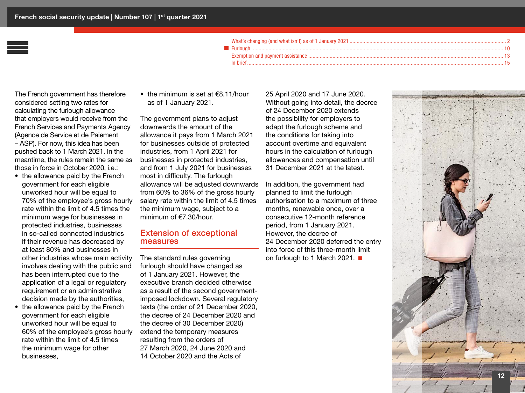| relationships to the community of the community of the community of the community of the community of the community of $10$ community of the community of $10\,$ |  |
|------------------------------------------------------------------------------------------------------------------------------------------------------------------|--|
|                                                                                                                                                                  |  |
|                                                                                                                                                                  |  |

The French government has therefore considered setting two rates for calculating the furlough allowance that employers would receive from the French Services and Payments Agency (Agence de Service et de Paiement – ASP). For now, this idea has been pushed back to 1 March 2021. In the meantime, the rules remain the same as those in force in October 2020, i.e.:

- the allowance paid by the French government for each eligible unworked hour will be equal to 70% of the employee's gross hourly rate within the limit of 4.5 times the minimum wage for businesses in protected industries, businesses in so-called connected industries if their revenue has decreased by at least 80% and businesses in other industries whose main activity involves dealing with the public and has been interrupted due to the application of a legal or regulatory requirement or an administrative decision made by the authorities,
- the allowance paid by the French government for each eligible unworked hour will be equal to 60% of the employee's gross hourly rate within the limit of 4.5 times the minimum wage for other businesses,

• the minimum is set at €8.11/hour as of 1 January 2021.

The government plans to adjust downwards the amount of the allowance it pays from 1 March 2021 for businesses outside of protected industries, from 1 April 2021 for businesses in protected industries, and from 1 July 2021 for businesses most in difficulty. The furlough allowance will be adjusted downwards from 60% to 36% of the gross hourly salary rate within the limit of 4.5 times the minimum wage, subject to a minimum of €7.30/hour.

#### Extension of exceptional measures

The standard rules governing furlough should have changed as of 1 January 2021. However, the executive branch decided otherwise as a result of the second governmentimposed lockdown. Several regulatory texts (the order of 21 December 2020, the decree of 24 December 2020 and the decree of 30 December 2020) extend the temporary measures resulting from the orders of 27 March 2020, 24 June 2020 and 14 October 2020 and the Acts of

25 April 2020 and 17 June 2020. Without going into detail, the decree of 24 December 2020 extends the possibility for employers to adapt the furlough scheme and the conditions for taking into account overtime and equivalent hours in the calculation of furlough allowances and compensation until 31 December 2021 at the latest.

In addition, the government had planned to limit the furlough authorisation to a maximum of three months, renewable once, over a consecutive 12-month reference period, from 1 January 2021. However, the decree of 24 December 2020 deferred the entry into force of this three-month limit on furlough to 1 March 2021. ■

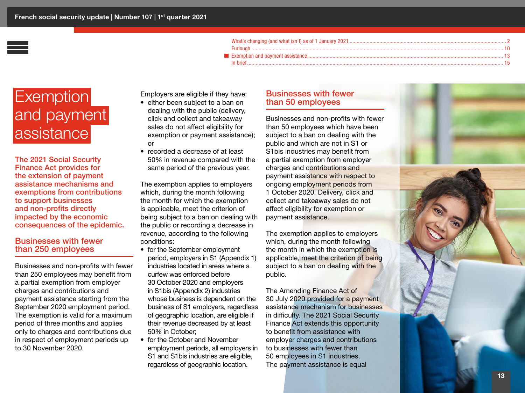## <span id="page-12-0"></span>**Exemption** and payment assistance

The 2021 Social Security Finance Act provides for the extension of payment assistance mechanisms and exemptions from contributions to support businesses and non-profits directly impacted by the economic consequences of the epidemic.

#### Businesses with fewer than 250 employees

Businesses and non-profits with fewer than 250 employees may benefit from a partial exemption from employer charges and contributions and payment assistance starting from the September 2020 employment period. The exemption is valid for a maximum period of three months and applies only to charges and contributions due in respect of employment periods up to 30 November 2020.

Employers are eligible if they have:

- either been subject to a ban on dealing with the public (delivery, click and collect and takeaway sales do not affect eligibility for exemption or payment assistance); or
- recorded a decrease of at least 50% in revenue compared with the same period of the previous year.

The exemption applies to employers which, during the month following the month for which the exemption is applicable, meet the criterion of being subject to a ban on dealing with the public or recording a decrease in revenue, according to the following conditions:

- for the September employment period, employers in S1 (Appendix 1) industries located in areas where a curfew was enforced before 30 October 2020 and employers in S1bis (Appendix 2) industries whose business is dependent on the business of S1 employers, regardless of geographic location, are eligible if their revenue decreased by at least 50% in October;
- for the October and November employment periods, all employers in S1 and S1bis industries are eligible, regardless of geographic location.

#### Businesses with fewer than 50 employees

Businesses and non-profits with fewer than 50 employees which have been subject to a ban on dealing with the public and which are not in S1 or S1bis industries may benefit from a partial exemption from employer charges and contributions and payment assistance with respect to ongoing employment periods from 1 October 2020. Delivery, click and collect and takeaway sales do not affect eligibility for exemption or payment assistance.

The exemption applies to employers which, during the month following the month in which the exemption is applicable, meet the criterion of being subject to a ban on dealing with the public.

The Amending Finance Act of 30 July 2020 provided for a payment assistance mechanism for businesses in difficulty. The 2021 Social Security Finance Act extends this opportunity to benefit from assistance with employer charges and contributions to businesses with fewer than 50 employees in S1 industries. The payment assistance is equal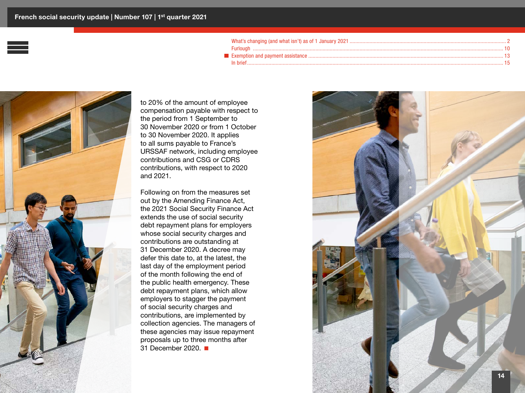

to 20% of the amount of employee compensation payable with respect to the period from 1 September to 30 November 2020 or from 1 October to 30 November 2020. It applies to all sums payable to France's URSSAF network, including employee contributions and CSG or CDRS contributions, with respect to 2020 and 2021.

Following on from the measures set out by the Amending Finance Act, the 2021 Social Security Finance Act extends the use of social security debt repayment plans for employers whose social security charges and contributions are outstanding at 31 December 2020. A decree may defer this date to, at the latest, the last day of the employment period of the month following the end of the public health emergency. These debt repayment plans, which allow employers to stagger the payment of social security charges and contributions, are implemented by collection agencies. The managers of these agencies may issue repayment proposals up to three months after 31 December 2020.

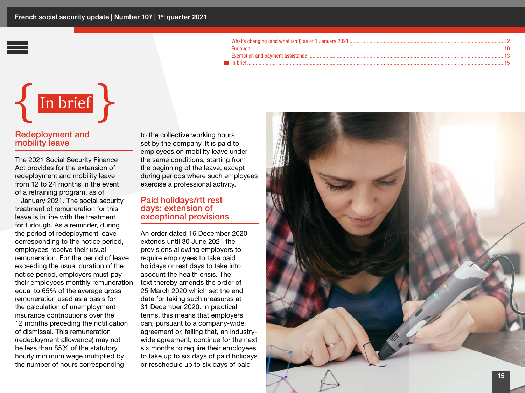# <span id="page-14-0"></span> $\{$  In brief  $\}$

#### Redeployment and mobility leave

The 2021 Social Security Finance Act provides for the extension of redeployment and mobility leave from 12 to 24 months in the event of a retraining program, as of 1 January 2021. The social security treatment of remuneration for this leave is in line with the treatment for furlough. As a reminder, during the period of redeployment leave corresponding to the notice period, employees receive their usual remuneration. For the period of leave exceeding the usual duration of the notice period, employers must pay their employees monthly remuneration equal to 65% of the average gross remuneration used as a basis for the calculation of unemployment insurance contributions over the 12 months preceding the notification of dismissal. This remuneration (redeployment allowance) may not be less than 85% of the statutory hourly minimum wage multiplied by the number of hours corresponding

to the collective working hours set by the company. It is paid to employees on mobility leave under the same conditions, starting from the beginning of the leave, except during periods where such employees exercise a professional activity.

#### Paid holidays/rtt rest days: extension of exceptional provisions

An order dated 16 December 2020 extends until 30 June 2021 the provisions allowing employers to require employees to take paid holidays or rest days to take into account the health crisis. The text thereby amends the order of 25 March 2020 which set the end date for taking such measures at 31 December 2020. In practical terms, this means that employers can, pursuant to a company-wide agreement or, failing that, an industrywide agreement, continue for the next six months to require their employees to take up to six days of paid holidays or reschedule up to six days of paid

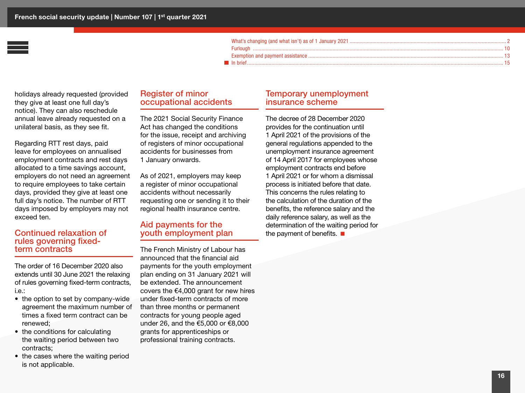holidays already requested (provided they give at least one full day's notice). They can also reschedule annual leave already requested on a unilateral basis, as they see fit.

Regarding RTT rest days, paid leave for employees on annualised employment contracts and rest days allocated to a time savings account, employers do not need an agreement to require employees to take certain days, provided they give at least one full day's notice. The number of RTT days imposed by employers may not exceed ten.

#### Continued relaxation of rules governing fixedterm contracts

The order of 16 December 2020 also extends until 30 June 2021 the relaxing of rules governing fixed-term contracts, i.e.:

- the option to set by company-wide agreement the maximum number of times a fixed term contract can be renewed;
- the conditions for calculating the waiting period between two contracts;
- the cases where the waiting period is not applicable.

#### Register of minor occupational accidents

The 2021 Social Security Finance Act has changed the conditions for the issue, receipt and archiving of registers of minor occupational accidents for businesses from 1 January onwards.

As of 2021, employers may keep a register of minor occupational accidents without necessarily requesting one or sending it to their regional health insurance centre.

#### Aid payments for the youth employment plan

The French Ministry of Labour has announced that the financial aid payments for the youth employment plan ending on 31 January 2021 will be extended. The announcement covers the  $€4,000$  grant for new hires under fixed-term contracts of more than three months or permanent contracts for young people aged under 26, and the €5,000 or €8,000 grants for apprenticeships or professional training contracts.

#### Temporary unemployment insurance scheme

The decree of 28 December 2020 provides for the continuation until 1 April 2021 of the provisions of the general regulations appended to the unemployment insurance agreement of 14 April 2017 for employees whose employment contracts end before 1 April 2021 or for whom a dismissal process is initiated before that date. This concerns the rules relating to the calculation of the duration of the benefits, the reference salary and the daily reference salary, as well as the determination of the waiting period for the payment of benefits.  $\blacksquare$